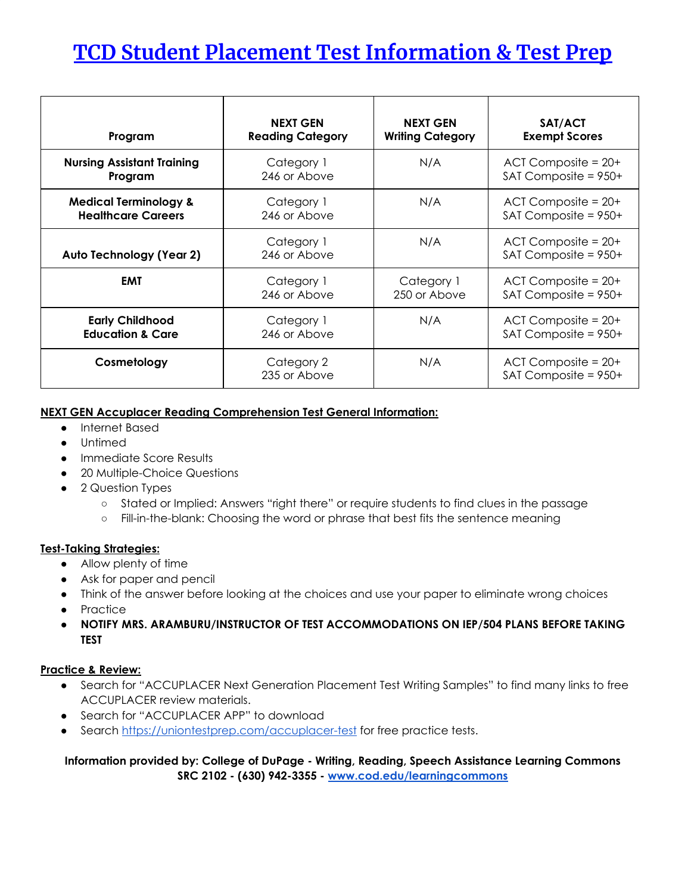# **TCD Student Placement Test Information & Test Prep**

| Program                           | <b>NEXT GEN</b>            | <b>NEXT GEN</b>         | SAT/ACT                                             |
|-----------------------------------|----------------------------|-------------------------|-----------------------------------------------------|
|                                   | <b>Reading Category</b>    | <b>Writing Category</b> | <b>Exempt Scores</b>                                |
| <b>Nursing Assistant Training</b> | Category 1                 | N/A                     | $ACI$ Composite = $20+$                             |
| Program                           | 246 or Above               |                         | SAT Composite = 950+                                |
| <b>Medical Terminology &amp;</b>  | Category 1                 | N/A                     | $ACI$ Composite = $20+$                             |
| <b>Healthcare Careers</b>         | 246 or Above               |                         | SAT Composite = 950+                                |
| Auto Technology (Year 2)          | Category 1<br>246 or Above | N/A                     | $ACI$ Composite = $20+$<br>SAT Composite = 950+     |
| <b>EMT</b>                        | Category 1                 | Category 1              | $ACI$ Composite = $20+$                             |
|                                   | 246 or Above               | 250 or Above            | SAT Composite = 950+                                |
| <b>Early Childhood</b>            | Category 1                 | N/A                     | $ACI$ Composite = $20+$                             |
| <b>Education &amp; Care</b>       | 246 or Above               |                         | $SAT$ Composite = $950+$                            |
| Cosmetology                       | Category 2<br>235 or Above | N/A                     | $ACI$ Composite = $20+$<br>$SAT$ Composite = $950+$ |

### **NEXT GEN Accuplacer Reading Comprehension Test General Information:**

- Internet Based
- **Untimed**
- Immediate Score Results
- 20 Multiple-Choice Questions
- 2 Question Types
	- Stated or Implied: Answers "right there" or require students to find clues in the passage
	- Fill-in-the-blank: Choosing the word or phrase that best fits the sentence meaning

#### **Test-Taking Strategies:**

- Allow plenty of time
- Ask for paper and pencil
- Think of the answer before looking at the choices and use your paper to eliminate wrong choices
- Practice
- **● NOTIFY MRS. ARAMBURU/INSTRUCTOR OF TEST ACCOMMODATIONS ON IEP/504 PLANS BEFORE TAKING TEST**

## **Practice & Review:**

- Search for "ACCUPLACER Next Generation Placement Test Writing Samples" to find many links to free ACCUPLACER review materials.
- Search for "ACCUPLACER APP" to download
- Search <https://uniontestprep.com/accuplacer-test> for free practice tests.

## **Information provided by: College of DuPage - Writing, Reading, Speech Assistance Learning Commons SRC 2102 - (630) 942-3355 - [www.cod.edu/learning](http://www.cod.edu/learning)commons**